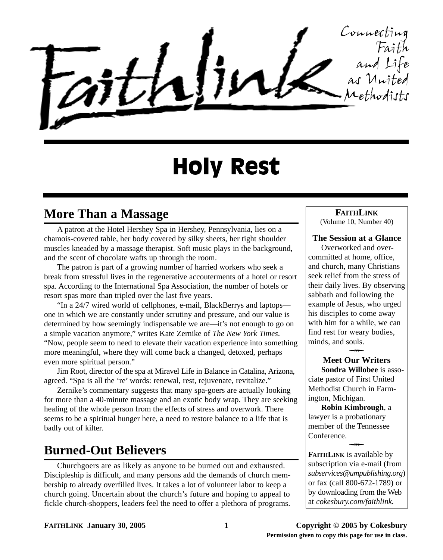Connecting Faith and Life as United Methodists

# Holy Rest

# **More Than a Massage**

A patron at the Hotel Hershey Spa in Hershey, Pennsylvania, lies on a chamois-covered table, her body covered by silky sheets, her tight shoulder muscles kneaded by a massage therapist. Soft music plays in the background, and the scent of chocolate wafts up through the room.

The patron is part of a growing number of harried workers who seek a break from stressful lives in the regenerative accouterments of a hotel or resort spa. According to the International Spa Association, the number of hotels or resort spas more than tripled over the last five years.

"In a 24/7 wired world of cellphones, e-mail, BlackBerrys and laptops one in which we are constantly under scrutiny and pressure, and our value is determined by how seemingly indispensable we are—it's not enough to go on a simple vacation anymore," writes Kate Zernike of *The New York Times*. "Now, people seem to need to elevate their vacation experience into something more meaningful, where they will come back a changed, detoxed, perhaps even more spiritual person."

Jim Root, director of the spa at Miravel Life in Balance in Catalina, Arizona, agreed. "Spa is all the 're' words: renewal, rest, rejuvenate, revitalize."

Zernike's commentary suggests that many spa-goers are actually looking for more than a 40-minute massage and an exotic body wrap. They are seeking healing of the whole person from the effects of stress and overwork. There seems to be a spiritual hunger here, a need to restore balance to a life that is badly out of kilter.

# **Burned-Out Believers**

Churchgoers are as likely as anyone to be burned out and exhausted. Discipleship is difficult, and many persons add the demands of church membership to already overfilled lives. It takes a lot of volunteer labor to keep a church going. Uncertain about the church's future and hoping to appeal to fickle church-shoppers, leaders feel the need to offer a plethora of programs.

#### **FAITHLINK**

(Volume 10, Number 40)

#### **The Session at a Glance**

Overworked and overcommitted at home, office, and church, many Christians seek relief from the stress of their daily lives. By observing sabbath and following the example of Jesus, who urged his disciples to come away with him for a while, we can find rest for weary bodies, minds, and souls.  $\overline{\phantom{a}}$ 

# **Meet Our Writers**

**Sondra Willobee** is associate pastor of First United Methodist Church in Farmington, Michigan.

**Robin Kimbrough**, a lawyer is a probationary member of the Tennessee Conference.  $\overline{\phantom{a}}$ 

**FAITHLINK** is available by subscription via e-mail (from *subservices@umpublishing.org*) or fax (call 800-672-1789) or by downloading from the Web at *cokesbury.com/faithlink.*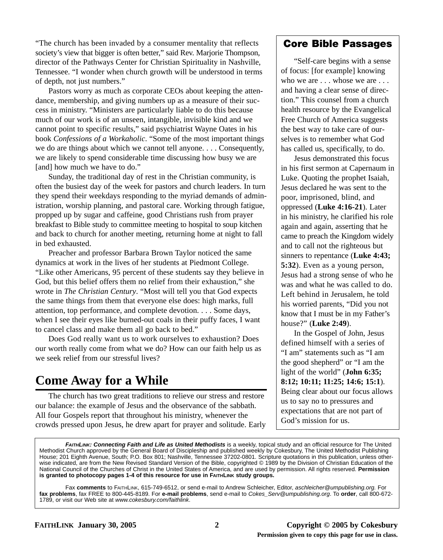"The church has been invaded by a consumer mentality that reflects society's view that bigger is often better," said Rev. Marjorie Thompson, director of the Pathways Center for Christian Spirituality in Nashville, Tennessee. "I wonder when church growth will be understood in terms of depth, not just numbers."

Pastors worry as much as corporate CEOs about keeping the attendance, membership, and giving numbers up as a measure of their success in ministry. "Ministers are particularly liable to do this because much of our work is of an unseen, intangible, invisible kind and we cannot point to specific results," said psychiatrist Wayne Oates in his book *Confessions of a Workaholic*. "Some of the most important things we do are things about which we cannot tell anyone. . . . Consequently, we are likely to spend considerable time discussing how busy we are [and] how much we have to do."

Sunday, the traditional day of rest in the Christian community, is often the busiest day of the week for pastors and church leaders. In turn they spend their weekdays responding to the myriad demands of administration, worship planning, and pastoral care. Working through fatigue, propped up by sugar and caffeine, good Christians rush from prayer breakfast to Bible study to committee meeting to hospital to soup kitchen and back to church for another meeting, returning home at night to fall in bed exhausted.

Preacher and professor Barbara Brown Taylor noticed the same dynamics at work in the lives of her students at Piedmont College. "Like other Americans, 95 percent of these students say they believe in God, but this belief offers them no relief from their exhaustion," she wrote in *The Christian Century*. "Most will tell you that God expects the same things from them that everyone else does: high marks, full attention, top performance, and complete devotion. . . . Some days, when I see their eyes like burned-out coals in their puffy faces, I want to cancel class and make them all go back to bed."

Does God really want us to work ourselves to exhaustion? Does our worth really come from what we do? How can our faith help us as we seek relief from our stressful lives?

# **Come Away for a While**

The church has two great traditions to relieve our stress and restore our balance: the example of Jesus and the observance of the sabbath. All four Gospels report that throughout his ministry, whenever the crowds pressed upon Jesus, he drew apart for prayer and solitude. Early

#### **Core Bible Passages**

"Self-care begins with a sense of focus: [for example] knowing who we are . . . whose we are . . . and having a clear sense of direction." This counsel from a church health resource by the Evangelical Free Church of America suggests the best way to take care of ourselves is to remember what God has called us, specifically, to do.

Jesus demonstrated this focus in his first sermon at Capernaum in Luke. Quoting the prophet Isaiah, Jesus declared he was sent to the poor, imprisoned, blind, and oppressed (**Luke 4:16-21**). Later in his ministry, he clarified his role again and again, asserting that he came to preach the Kingdom widely and to call not the righteous but sinners to repentance (**Luke 4:43; 5:32**). Even as a young person, Jesus had a strong sense of who he was and what he was called to do. Left behind in Jerusalem, he told his worried parents, "Did you not know that I must be in my Father's house?" (**Luke 2:49**).

In the Gospel of John, Jesus defined himself with a series of "I am" statements such as "I am the good shepherd" or "I am the light of the world" (**John 6:35; 8:12; 10:11; 11:25; 14:6; 15:1**). Being clear about our focus allows us to say no to pressures and expectations that are not part of God's mission for us.

**FAITHLINK: Connecting Faith and Life as United Methodists** is a weekly, topical study and an official resource for The United Methodist Church approved by the General Board of Discipleship and published weekly by Cokesbury, The United Methodist Publishing House; 201 Eighth Avenue, South; P.O. Box 801; Nashville, Tennessee 37202-0801. Scripture quotations in this publication, unless otherwise indicated, are from the New Revised Standard Version of the Bible, copyrighted © 1989 by the Division of Christian Education of the National Council of the Churches of Christ in the United States of America, and are used by permission. All rights reserved. **Permission is granted to photocopy pages 1-4 of this resource for use in FAITHLINK study groups.**

Fax **comments** to FAITHLINK, 615-749-6512, or send e-mail to Andrew Schleicher, Editor, aschleicher@umpublishing.org. For **fax problems**, fax FREE to 800-445-8189. For **e-mail problems**, send e-mail to Cokes\_Serv@umpublishing.org. To **order**, call 800-672- 1789, or visit our Web site at www.cokesbury.com/faithlink.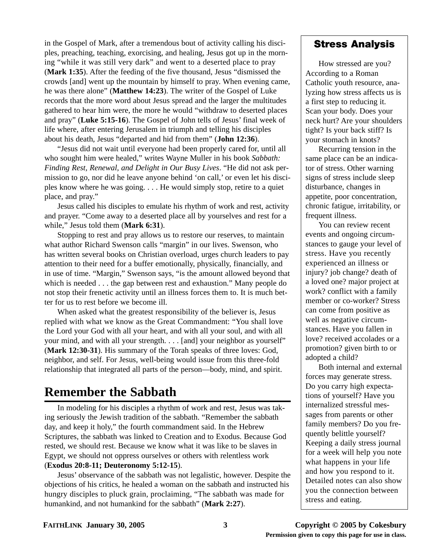in the Gospel of Mark, after a tremendous bout of activity calling his disciples, preaching, teaching, exorcising, and healing, Jesus got up in the morning "while it was still very dark" and went to a deserted place to pray (**Mark 1:35**). After the feeding of the five thousand, Jesus "dismissed the crowds [and] went up the mountain by himself to pray. When evening came, he was there alone" (**Matthew 14:23**). The writer of the Gospel of Luke records that the more word about Jesus spread and the larger the multitudes gathered to hear him were, the more he would "withdraw to deserted places and pray" (**Luke 5:15-16**). The Gospel of John tells of Jesus' final week of life where, after entering Jerusalem in triumph and telling his disciples about his death, Jesus "departed and hid from them" (**John 12:36**).

"Jesus did not wait until everyone had been properly cared for, until all who sought him were healed," writes Wayne Muller in his book *Sabbath: Finding Rest, Renewal, and Delight in Our Busy Lives*. "He did not ask permission to go, nor did he leave anyone behind 'on call,' or even let his disciples know where he was going. . . . He would simply stop, retire to a quiet place, and pray."

Jesus called his disciples to emulate his rhythm of work and rest, activity and prayer. "Come away to a deserted place all by yourselves and rest for a while," Jesus told them (**Mark 6:31**).

Stopping to rest and pray allows us to restore our reserves, to maintain what author Richard Swenson calls "margin" in our lives. Swenson, who has written several books on Christian overload, urges church leaders to pay attention to their need for a buffer emotionally, physically, financially, and in use of time. "Margin," Swenson says, "is the amount allowed beyond that which is needed . . . the gap between rest and exhaustion." Many people do not stop their frenetic activity until an illness forces them to. It is much better for us to rest before we become ill.

When asked what the greatest responsibility of the believer is, Jesus replied with what we know as the Great Commandment: "You shall love the Lord your God with all your heart, and with all your soul, and with all your mind, and with all your strength. . . . [and] your neighbor as yourself" (**Mark 12:30-31**). His summary of the Torah speaks of three loves: God, neighbor, and self. For Jesus, well-being would issue from this three-fold relationship that integrated all parts of the person—body, mind, and spirit.

# **Remember the Sabbath**

In modeling for his disciples a rhythm of work and rest, Jesus was taking seriously the Jewish tradition of the sabbath. "Remember the sabbath day, and keep it holy," the fourth commandment said. In the Hebrew Scriptures, the sabbath was linked to Creation and to Exodus. Because God rested, we should rest. Because we know what it was like to be slaves in Egypt, we should not oppress ourselves or others with relentless work (**Exodus 20:8-11; Deuteronomy 5:12-15**).

Jesus' observance of the sabbath was not legalistic, however. Despite the objections of his critics, he healed a woman on the sabbath and instructed his hungry disciples to pluck grain, proclaiming, "The sabbath was made for humankind, and not humankind for the sabbath" (**Mark 2:27**).

#### **Stress Analysis**

How stressed are you? According to a Roman Catholic youth resource, analyzing how stress affects us is a first step to reducing it. Scan your body. Does your neck hurt? Are your shoulders tight? Is your back stiff? Is your stomach in knots?

Recurring tension in the same place can be an indicator of stress. Other warning signs of stress include sleep disturbance, changes in appetite, poor concentration, chronic fatigue, irritability, or frequent illness.

You can review recent events and ongoing circumstances to gauge your level of stress. Have you recently experienced an illness or injury? job change? death of a loved one? major project at work? conflict with a family member or co-worker? Stress can come from positive as well as negative circumstances. Have you fallen in love? received accolades or a promotion? given birth to or adopted a child?

Both internal and external forces may generate stress. Do you carry high expectations of yourself? Have you internalized stressful messages from parents or other family members? Do you frequently belittle yourself? Keeping a daily stress journal for a week will help you note what happens in your life and how you respond to it. Detailed notes can also show you the connection between stress and eating.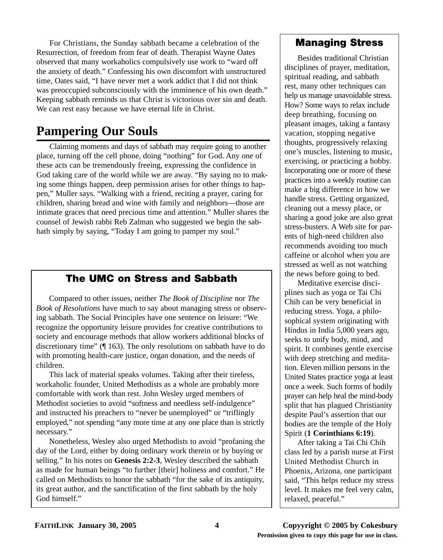For Christians, the Sunday sabbath became a celebration of the Resurrection, of freedom from fear of death. Therapist Wayne Oates observed that many workaholics compulsively use work to "ward off the anxiety of death." Confessing his own discomfort with unstructured time, Oates said, "I have never met a work addict that I did not think was preoccupied subconsciously with the imminence of his own death." Keeping sabbath reminds us that Christ is victorious over sin and death. We can rest easy because we have eternal life in Christ.

# **Pampering Our Souls**

Claiming moments and days of sabbath may require going to another place, turning off the cell phone, doing "nothing" for God. Any one of these acts can be tremendously freeing, expressing the confidence in God taking care of the world while we are away. "By saying no to making some things happen, deep permission arises for other things to happen," Muller says. "Walking with a friend, reciting a prayer, caring for children, sharing bread and wine with family and neighbors—those are intimate graces that need precious time and attention." Muller shares the counsel of Jewish rabbi Reb Zalman who suggested we begin the sabbath simply by saying, "Today I am going to pamper my soul."

# **The UMC on Stress and Sabbath**

Compared to other issues, neither *The Book of Discipline* nor *The Book of Resolutions* have much to say about managing stress or observing sabbath. The Social Principles have one sentence on leisure: "We recognize the opportunity leisure provides for creative contributions to society and encourage methods that allow workers additional blocks of discretionary time" (¶ 163). The only resolutions on sabbath have to do with promoting health-care justice, organ donation, and the needs of children.

This lack of material speaks volumes. Taking after their tireless, workaholic founder, United Methodists as a whole are probably more comfortable with work than rest. John Wesley urged members of Methodist societies to avoid "softness and needless self-indulgence" and instructed his preachers to "never be unemployed" or "triflingly employed," not spending "any more time at any one place than is strictly necessary."

Nonetheless, Wesley also urged Methodists to avoid "profaning the day of the Lord, either by doing ordinary work therein or by buying or selling." In his notes on **Genesis 2:2-3**, Wesley described the sabbath as made for human beings "to further [their] holiness and comfort." He called on Methodists to honor the sabbath "for the sake of its antiquity, its great author, and the sanctification of the first sabbath by the holy God himself"

## **Managing Stress**

Besides traditional Christian disciplines of prayer, meditation, spiritual reading, and sabbath rest, many other techniques can help us manage unavoidable stress. How? Some ways to relax include deep breathing, focusing on pleasant images, taking a fantasy vacation, stopping negative thoughts, progressively relaxing one's muscles, listening to music, exercising, or practicing a hobby. Incorporating one or more of these practices into a weekly routine can make a big difference in how we handle stress. Getting organized, cleaning out a messy place, or sharing a good joke are also great stress-busters. A Web site for parents of high-need children also recommends avoiding too much caffeine or alcohol when you are stressed as well as not watching the news before going to bed.

Meditative exercise disciplines such as yoga or Tai Chi Chih can be very beneficial in reducing stress. Yoga, a philosophical system originating with Hindus in India 5,000 years ago, seeks to unify body, mind, and spirit. It combines gentle exercise with deep stretching and meditation. Eleven million persons in the United States practice yoga at least once a week. Such forms of bodily prayer can help heal the mind-body split that has plagued Christianity despite Paul's assertion that our bodies are the temple of the Holy Spirit (**1 Corinthians 6:19**).

After taking a Tai Chi Chih class led by a parish nurse at First United Methodist Church in Phoenix, Arizona, one participant said, "This helps reduce my stress level. It makes me feel very calm, relaxed, peaceful."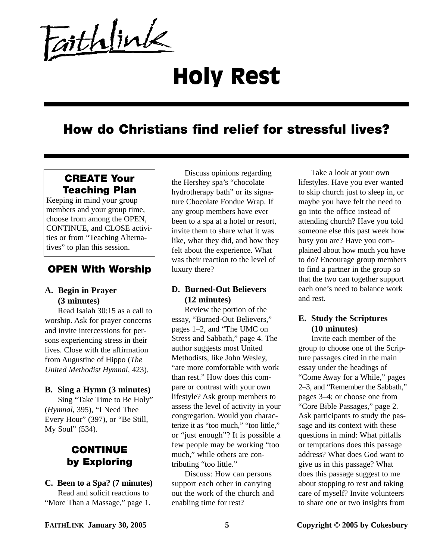Faithlink

# Holy Rest

# **How do Christians find relief for stressful lives?**

## **CREATE Your Teaching Plan**

Keeping in mind your group members and your group time, choose from among the OPEN, CONTINUE, and CLOSE activities or from "Teaching Alternatives" to plan this session.

#### **OPEN With Worship**

#### **A. Begin in Prayer (3 minutes)**

Read Isaiah 30:15 as a call to worship. Ask for prayer concerns and invite intercessions for persons experiencing stress in their lives. Close with the affirmation from Augustine of Hippo (*The United Methodist Hymnal*, 423).

#### **B. Sing a Hymn (3 minutes)**

Sing "Take Time to Be Holy" (*Hymnal*, 395), "I Need Thee Every Hour" (397), or "Be Still, My Soul" (534).

## **CONTINUE by Exploring**

### **C. Been to a Spa? (7 minutes)**

Read and solicit reactions to "More Than a Massage," page 1.

Discuss opinions regarding the Hershey spa's "chocolate hydrotherapy bath" or its signature Chocolate Fondue Wrap. If any group members have ever been to a spa at a hotel or resort, invite them to share what it was like, what they did, and how they felt about the experience. What was their reaction to the level of luxury there?

#### **D. Burned-Out Believers (12 minutes)**

Review the portion of the essay, "Burned-Out Believers," pages 1–2, and "The UMC on Stress and Sabbath," page 4. The author suggests most United Methodists, like John Wesley, "are more comfortable with work than rest." How does this compare or contrast with your own lifestyle? Ask group members to assess the level of activity in your congregation. Would you characterize it as "too much," "too little," or "just enough"? It is possible a few people may be working "too much," while others are contributing "too little."

Discuss: How can persons support each other in carrying out the work of the church and enabling time for rest?

Take a look at your own lifestyles. Have you ever wanted to skip church just to sleep in, or maybe you have felt the need to go into the office instead of attending church? Have you told someone else this past week how busy you are? Have you complained about how much you have to do? Encourage group members to find a partner in the group so that the two can together support each one's need to balance work and rest.

#### **E. Study the Scriptures (10 minutes)**

Invite each member of the group to choose one of the Scripture passages cited in the main essay under the headings of "Come Away for a While," pages 2–3, and "Remember the Sabbath," pages 3–4; or choose one from "Core Bible Passages," page 2. Ask participants to study the passage and its context with these questions in mind: What pitfalls or temptations does this passage address? What does God want to give us in this passage? What does this passage suggest to me about stopping to rest and taking care of myself? Invite volunteers to share one or two insights from